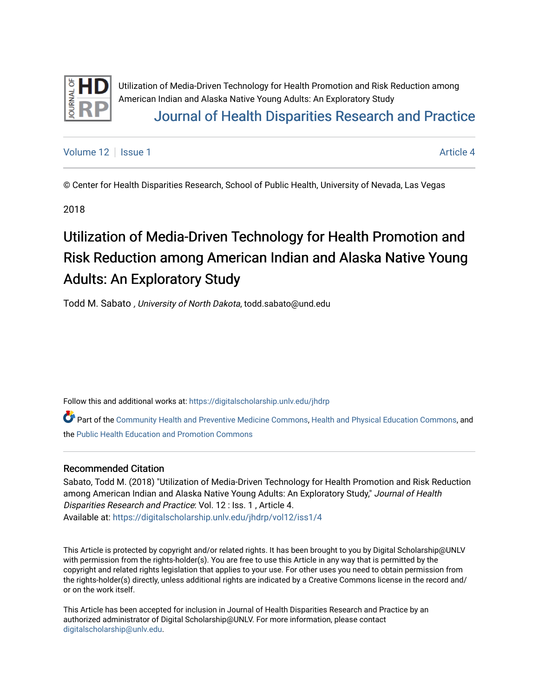

Utilization of Media-Driven Technology for Health Promotion and Risk Reduction among American Indian and Alaska Native Young Adults: An Exploratory Study [Journal of Health Disparities Research and Practice](https://digitalscholarship.unlv.edu/jhdrp) 

[Volume 12](https://digitalscholarship.unlv.edu/jhdrp/vol12) Setup 1 Article 4

© Center for Health Disparities Research, School of Public Health, University of Nevada, Las Vegas

2018

# Utilization of Media-Driven Technology for Health Promotion and Risk Reduction among American Indian and Alaska Native Young Adults: An Exploratory Study

Todd M. Sabato , University of North Dakota, todd.sabato@und.edu

Follow this and additional works at: [https://digitalscholarship.unlv.edu/jhdrp](https://digitalscholarship.unlv.edu/jhdrp?utm_source=digitalscholarship.unlv.edu%2Fjhdrp%2Fvol12%2Fiss1%2F4&utm_medium=PDF&utm_campaign=PDFCoverPages) 

Part of the [Community Health and Preventive Medicine Commons,](http://network.bepress.com/hgg/discipline/744?utm_source=digitalscholarship.unlv.edu%2Fjhdrp%2Fvol12%2Fiss1%2F4&utm_medium=PDF&utm_campaign=PDFCoverPages) [Health and Physical Education Commons,](http://network.bepress.com/hgg/discipline/1327?utm_source=digitalscholarship.unlv.edu%2Fjhdrp%2Fvol12%2Fiss1%2F4&utm_medium=PDF&utm_campaign=PDFCoverPages) and the [Public Health Education and Promotion Commons](http://network.bepress.com/hgg/discipline/743?utm_source=digitalscholarship.unlv.edu%2Fjhdrp%2Fvol12%2Fiss1%2F4&utm_medium=PDF&utm_campaign=PDFCoverPages)

#### Recommended Citation

Sabato, Todd M. (2018) "Utilization of Media-Driven Technology for Health Promotion and Risk Reduction among American Indian and Alaska Native Young Adults: An Exploratory Study," Journal of Health Disparities Research and Practice: Vol. 12 : Iss. 1 , Article 4. Available at: [https://digitalscholarship.unlv.edu/jhdrp/vol12/iss1/4](https://digitalscholarship.unlv.edu/jhdrp/vol12/iss1/4?utm_source=digitalscholarship.unlv.edu%2Fjhdrp%2Fvol12%2Fiss1%2F4&utm_medium=PDF&utm_campaign=PDFCoverPages) 

This Article is protected by copyright and/or related rights. It has been brought to you by Digital Scholarship@UNLV with permission from the rights-holder(s). You are free to use this Article in any way that is permitted by the copyright and related rights legislation that applies to your use. For other uses you need to obtain permission from the rights-holder(s) directly, unless additional rights are indicated by a Creative Commons license in the record and/ or on the work itself.

This Article has been accepted for inclusion in Journal of Health Disparities Research and Practice by an authorized administrator of Digital Scholarship@UNLV. For more information, please contact [digitalscholarship@unlv.edu](mailto:digitalscholarship@unlv.edu).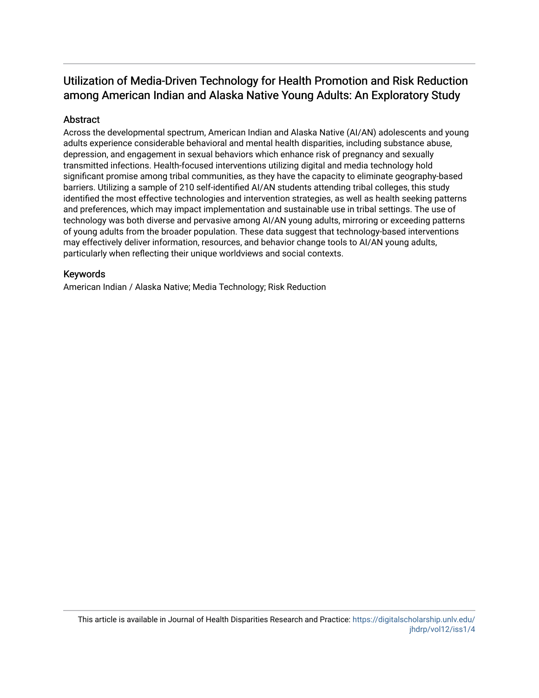# Abstract

Across the developmental spectrum, American Indian and Alaska Native (AI/AN) adolescents and young adults experience considerable behavioral and mental health disparities, including substance abuse, depression, and engagement in sexual behaviors which enhance risk of pregnancy and sexually transmitted infections. Health-focused interventions utilizing digital and media technology hold significant promise among tribal communities, as they have the capacity to eliminate geography-based barriers. Utilizing a sample of 210 self-identified AI/AN students attending tribal colleges, this study identified the most effective technologies and intervention strategies, as well as health seeking patterns and preferences, which may impact implementation and sustainable use in tribal settings. The use of technology was both diverse and pervasive among AI/AN young adults, mirroring or exceeding patterns of young adults from the broader population. These data suggest that technology-based interventions may effectively deliver information, resources, and behavior change tools to AI/AN young adults, particularly when reflecting their unique worldviews and social contexts.

# Keywords

American Indian / Alaska Native; Media Technology; Risk Reduction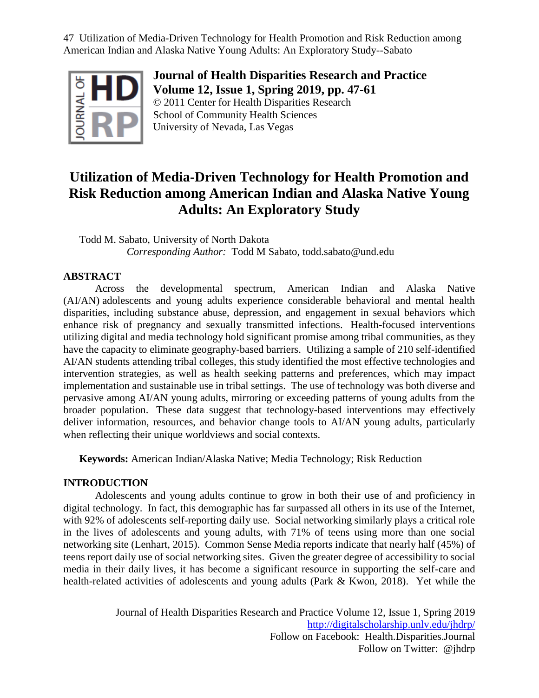

**Journal of Health Disparities Research and Practice Volume 12, Issue 1, Spring 2019, pp. 47-61** © 2011 Center for Health Disparities Research School of Community Health Sciences University of Nevada, Las Vegas

# **Utilization of Media-Driven Technology for Health Promotion and Risk Reduction among American Indian and Alaska Native Young Adults: An Exploratory Study**

Todd M. Sabato, University of North Dakota *Corresponding Author:* Todd M Sabato, todd.sabato@und.edu

# **ABSTRACT**

Across the developmental spectrum, American Indian and Alaska Native (AI/AN) adolescents and young adults experience considerable behavioral and mental health disparities, including substance abuse, depression, and engagement in sexual behaviors which enhance risk of pregnancy and sexually transmitted infections. Health-focused interventions utilizing digital and media technology hold significant promise among tribal communities, as they have the capacity to eliminate geography-based barriers. Utilizing a sample of 210 self-identified AI/AN students attending tribal colleges, this study identified the most effective technologies and intervention strategies, as well as health seeking patterns and preferences, which may impact implementation and sustainable use in tribal settings. The use of technology was both diverse and pervasive among AI/AN young adults, mirroring or exceeding patterns of young adults from the broader population. These data suggest that technology-based interventions may effectively deliver information, resources, and behavior change tools to AI/AN young adults, particularly when reflecting their unique worldviews and social contexts.

**Keywords:** American Indian/Alaska Native; Media Technology; Risk Reduction

# **INTRODUCTION**

Adolescents and young adults continue to grow in both their use of and proficiency in digital technology. In fact, this demographic has far surpassed all others in its use of the Internet, with 92% of adolescents self-reporting daily use. Social networking similarly plays a critical role in the lives of adolescents and young adults, with 71% of teens using more than one social networking site (Lenhart, 2015). Common Sense Media reports indicate that nearly half (45%) of teens report daily use of social networking sites. Given the greater degree of accessibility to social media in their daily lives, it has become a significant resource in supporting the self-care and health-related activities of adolescents and young adults (Park & Kwon, 2018). Yet while the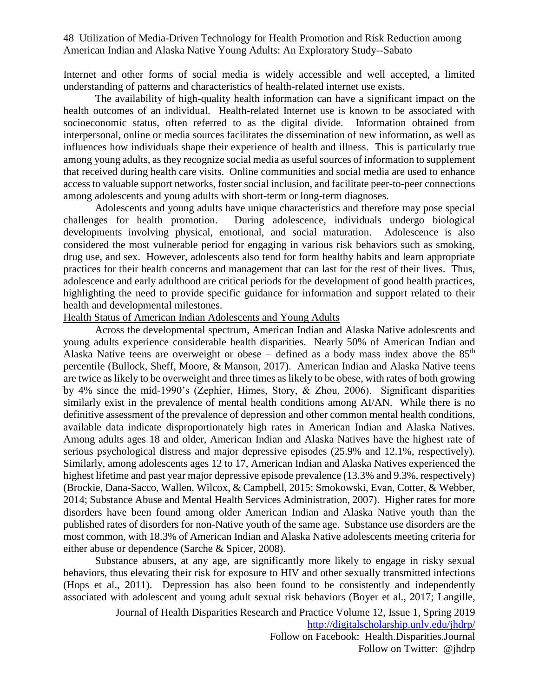Internet and other forms of social media is widely accessible and well accepted, a limited understanding of patterns and characteristics of health-related internet use exists.

The availability of high-quality health information can have a significant impact on the health outcomes of an individual. Health-related Internet use is known to be associated with socioeconomic status, often referred to as the digital divide. Information obtained from interpersonal, online or media sources facilitates the dissemination of new information, as well as influences how individuals shape their experience of health and illness. This is particularly true among young adults, as they recognize social media as useful sources of information to supplement that received during health care visits. Online communities and social media are used to enhance access to valuable support networks, foster social inclusion, and facilitate peer-to-peer connections among adolescents and young adults with short-term or long-term diagnoses.

Adolescents and young adults have unique characteristics and therefore may pose special challenges for health promotion. During adolescence, individuals undergo biological developments involving physical, emotional, and social maturation. Adolescence is also considered the most vulnerable period for engaging in various risk behaviors such as smoking, drug use, and sex. However, adolescents also tend for form healthy habits and learn appropriate practices for their health concerns and management that can last for the rest of their lives. Thus, adolescence and early adulthood are critical periods for the development of good health practices, highlighting the need to provide specific guidance for information and support related to their health and developmental milestones.

# Health Status of American Indian Adolescents and Young Adults

Across the developmental spectrum, American Indian and Alaska Native adolescents and young adults experience considerable health disparities. Nearly 50% of American Indian and Alaska Native teens are overweight or obese – defined as a body mass index above the  $85<sup>th</sup>$ percentile (Bullock, Sheff, Moore, & Manson, 2017). American Indian and Alaska Native teens are twice as likely to be overweight and three times as likely to be obese, with rates of both growing by 4% since the mid-1990's (Zephier, Himes, Story, & Zhou, 2006). Significant disparities similarly exist in the prevalence of mental health conditions among AI/AN. While there is no definitive assessment of the prevalence of depression and other common mental health conditions, available data indicate disproportionately high rates in American Indian and Alaska Natives. Among adults ages 18 and older, American Indian and Alaska Natives have the highest rate of serious psychological distress and major depressive episodes (25.9% and 12.1%, respectively). Similarly, among adolescents ages 12 to 17, American Indian and Alaska Natives experienced the highest lifetime and past year major depressive episode prevalence (13.3% and 9.3%, respectively) (Brockie, Dana-Sacco, Wallen, Wilcox, & Campbell, 2015; Smokowski, Evan, Cotter, & Webber, 2014; Substance Abuse and Mental Health Services Administration, 2007). Higher rates for more disorders have been found among older American Indian and Alaska Native youth than the published rates of disorders for non-Native youth of the same age. Substance use disorders are the most common, with 18.3% of American Indian and Alaska Native adolescents meeting criteria for either abuse or dependence (Sarche & Spicer, 2008).

Substance abusers, at any age, are significantly more likely to engage in risky sexual behaviors, thus elevating their risk for exposure to HIV and other sexually transmitted infections (Hops et al., 2011). Depression has also been found to be consistently and independently associated with adolescent and young adult sexual risk behaviors (Boyer et al., 2017; Langille,

> Journal of Health Disparities Research and Practice Volume 12, Issue 1, Spring 2019 <http://digitalscholarship.unlv.edu/jhdrp/> Follow on Facebook: Health.Disparities.Journal

> > Follow on Twitter: @jhdrp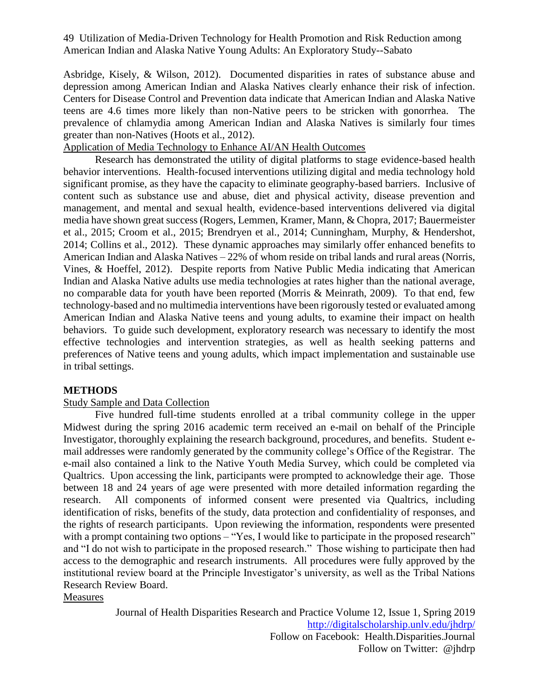Asbridge, Kisely, & Wilson, 2012). Documented disparities in rates of substance abuse and depression among American Indian and Alaska Natives clearly enhance their risk of infection. Centers for Disease Control and Prevention data indicate that American Indian and Alaska Native teens are 4.6 times more likely than non-Native peers to be stricken with gonorrhea. The prevalence of chlamydia among American Indian and Alaska Natives is similarly four times greater than non-Natives (Hoots et al., 2012).

# Application of Media Technology to Enhance AI/AN Health Outcomes

Research has demonstrated the utility of digital platforms to stage evidence-based health behavior interventions. Health-focused interventions utilizing digital and media technology hold significant promise, as they have the capacity to eliminate geography-based barriers. Inclusive of content such as substance use and abuse, diet and physical activity, disease prevention and management, and mental and sexual health, evidence-based interventions delivered via digital media have shown great success (Rogers, Lemmen, Kramer, Mann, & Chopra, 2017; Bauermeister et al., 2015; Croom et al., 2015; Brendryen et al., 2014; Cunningham, Murphy, & Hendershot, 2014; Collins et al., 2012). These dynamic approaches may similarly offer enhanced benefits to American Indian and Alaska Natives – 22% of whom reside on tribal lands and rural areas (Norris, Vines, & Hoeffel, 2012). Despite reports from Native Public Media indicating that American Indian and Alaska Native adults use media technologies at rates higher than the national average, no comparable data for youth have been reported (Morris & Meinrath, 2009). To that end, few technology-based and no multimedia interventions have been rigorously tested or evaluated among American Indian and Alaska Native teens and young adults, to examine their impact on health behaviors. To guide such development, exploratory research was necessary to identify the most effective technologies and intervention strategies, as well as health seeking patterns and preferences of Native teens and young adults, which impact implementation and sustainable use in tribal settings.

# **METHODS**

#### Study Sample and Data Collection

Five hundred full-time students enrolled at a tribal community college in the upper Midwest during the spring 2016 academic term received an e-mail on behalf of the Principle Investigator, thoroughly explaining the research background, procedures, and benefits. Student email addresses were randomly generated by the community college's Office of the Registrar. The e-mail also contained a link to the Native Youth Media Survey, which could be completed via Qualtrics. Upon accessing the link, participants were prompted to acknowledge their age. Those between 18 and 24 years of age were presented with more detailed information regarding the research. All components of informed consent were presented via Qualtrics, including identification of risks, benefits of the study, data protection and confidentiality of responses, and the rights of research participants. Upon reviewing the information, respondents were presented with a prompt containing two options – "Yes, I would like to participate in the proposed research" and "I do not wish to participate in the proposed research." Those wishing to participate then had access to the demographic and research instruments. All procedures were fully approved by the institutional review board at the Principle Investigator's university, as well as the Tribal Nations Research Review Board.

Measures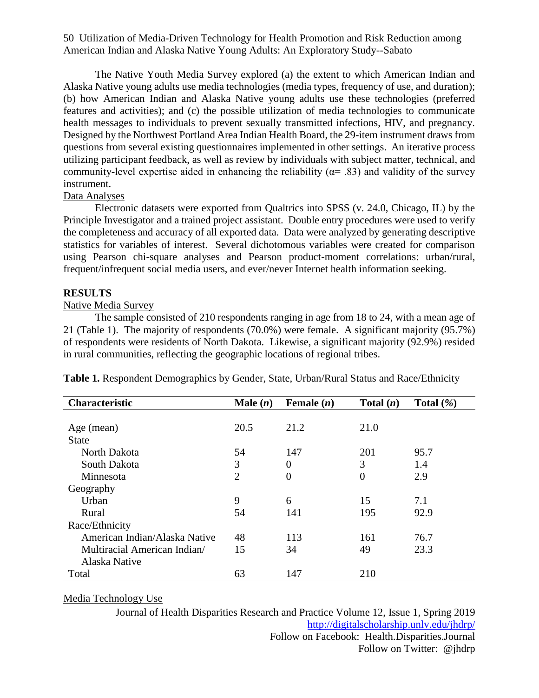The Native Youth Media Survey explored (a) the extent to which American Indian and Alaska Native young adults use media technologies (media types, frequency of use, and duration); (b) how American Indian and Alaska Native young adults use these technologies (preferred features and activities); and (c) the possible utilization of media technologies to communicate health messages to individuals to prevent sexually transmitted infections, HIV, and pregnancy. Designed by the Northwest Portland Area Indian Health Board, the 29-item instrument draws from questions from several existing questionnaires implemented in other settings. An iterative process utilizing participant feedback, as well as review by individuals with subject matter, technical, and community-level expertise aided in enhancing the reliability ( $\alpha$ = .83) and validity of the survey instrument.

#### Data Analyses

Electronic datasets were exported from Qualtrics into SPSS (v. 24.0, Chicago, IL) by the Principle Investigator and a trained project assistant. Double entry procedures were used to verify the completeness and accuracy of all exported data. Data were analyzed by generating descriptive statistics for variables of interest. Several dichotomous variables were created for comparison using Pearson chi-square analyses and Pearson product-moment correlations: urban/rural, frequent/infrequent social media users, and ever/never Internet health information seeking.

# **RESULTS**

# Native Media Survey

The sample consisted of 210 respondents ranging in age from 18 to 24, with a mean age of 21 (Table 1). The majority of respondents (70.0%) were female. A significant majority (95.7%) of respondents were residents of North Dakota. Likewise, a significant majority (92.9%) resided in rural communities, reflecting the geographic locations of regional tribes.

| <b>Characteristic</b>         | Male $(n)$     | Female $(n)$   | Total $(n)$      | Total $(\% )$ |
|-------------------------------|----------------|----------------|------------------|---------------|
|                               |                |                |                  |               |
| Age (mean)                    | 20.5           | 21.2           | 21.0             |               |
| <b>State</b>                  |                |                |                  |               |
| North Dakota                  | 54             | 147            | 201              | 95.7          |
| South Dakota                  | 3              | $\overline{0}$ | 3                | 1.4           |
| Minnesota                     | $\overline{2}$ | $\overline{0}$ | $\boldsymbol{0}$ | 2.9           |
| Geography                     |                |                |                  |               |
| Urban                         | 9              | 6              | 15               | 7.1           |
| Rural                         | 54             | 141            | 195              | 92.9          |
| Race/Ethnicity                |                |                |                  |               |
| American Indian/Alaska Native | 48             | 113            | 161              | 76.7          |
| Multiracial American Indian/  | 15             | 34             | 49               | 23.3          |
| Alaska Native                 |                |                |                  |               |
| Total                         | 63             | 147            | 210              |               |

**Table 1.** Respondent Demographics by Gender, State, Urban/Rural Status and Race/Ethnicity

# Media Technology Use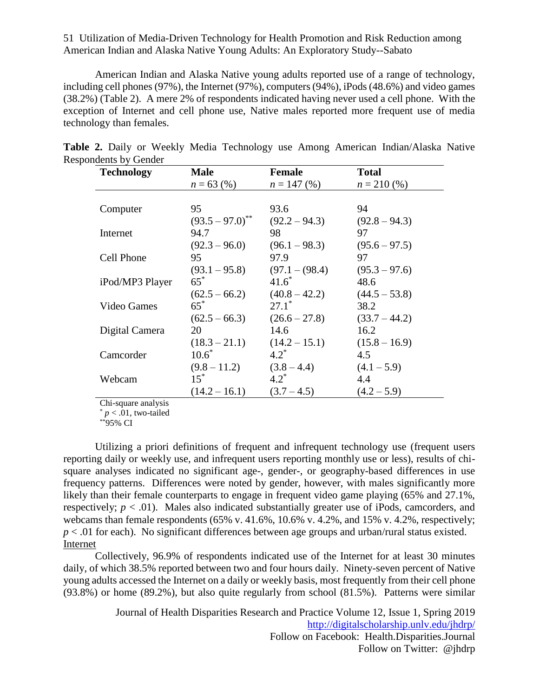American Indian and Alaska Native young adults reported use of a range of technology, including cell phones (97%), the Internet (97%), computers (94%), iPods (48.6%) and video games (38.2%) (Table 2). A mere 2% of respondents indicated having never used a cell phone. With the exception of Internet and cell phone use, Native males reported more frequent use of media technology than females.

| <b>Technology</b> | <b>Male</b>          | <b>Female</b>     | <b>Total</b>    |
|-------------------|----------------------|-------------------|-----------------|
|                   | $n = 63$ (%)         | $n = 147$ (%)     | $n = 210(%)$    |
|                   |                      |                   |                 |
| Computer          | 95                   | 93.6              | 94              |
|                   | $(93.5 - 97.0)^{**}$ | $(92.2 - 94.3)$   | $(92.8 - 94.3)$ |
| Internet          | 94.7                 | 98                | 97              |
|                   | $(92.3 - 96.0)$      | $(96.1 - 98.3)$   | $(95.6 - 97.5)$ |
| Cell Phone        | 95                   | 97.9              | 97              |
|                   | $(93.1 - 95.8)$      | $(97.1 - (98.4))$ | $(95.3 - 97.6)$ |
| iPod/MP3 Player   | $65^*$               | $41.6^*$          | 48.6            |
|                   | $(62.5 - 66.2)$      | $(40.8 - 42.2)$   | $(44.5 - 53.8)$ |
| Video Games       | $65*$                | $27.1^*$          | 38.2            |
|                   | $(62.5 - 66.3)$      | $(26.6 - 27.8)$   | $(33.7 - 44.2)$ |
| Digital Camera    | 20                   | 14.6              | 16.2            |
|                   | $(18.3 - 21.1)$      | $(14.2 - 15.1)$   | $(15.8 - 16.9)$ |
| Camcorder         | $10.6^*$             | $4.2^*$           | 4.5             |
|                   | $(9.8 - 11.2)$       | $(3.8 - 4.4)$     | $(4.1 - 5.9)$   |
| Webcam            | $15^*$               | $4.2^*$           | 4.4             |
|                   | $(14.2 - 16.1)$      | $(3.7 - 4.5)$     | $(4.2 - 5.9)$   |

**Table 2.** Daily or Weekly Media Technology use Among American Indian/Alaska Native Respondents by Gender

Chi-square analysis

 $p < 0.01$ , two-tailed

 $*^{P}_{95\%}$  CI

Utilizing a priori definitions of frequent and infrequent technology use (frequent users reporting daily or weekly use, and infrequent users reporting monthly use or less), results of chisquare analyses indicated no significant age-, gender-, or geography-based differences in use frequency patterns. Differences were noted by gender, however, with males significantly more likely than their female counterparts to engage in frequent video game playing (65% and 27.1%, respectively;  $p < .01$ ). Males also indicated substantially greater use of iPods, camcorders, and webcams than female respondents (65% v. 41.6%, 10.6% v. 4.2%, and 15% v. 4.2%, respectively; *p* < .01 for each). No significant differences between age groups and urban/rural status existed. Internet

Collectively, 96.9% of respondents indicated use of the Internet for at least 30 minutes daily, of which 38.5% reported between two and four hours daily. Ninety-seven percent of Native young adults accessed the Internet on a daily or weekly basis, most frequently from their cell phone (93.8%) or home (89.2%), but also quite regularly from school (81.5%). Patterns were similar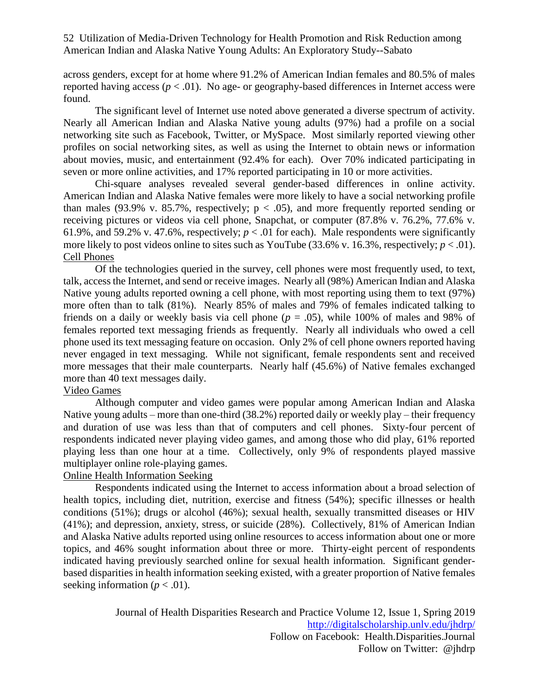across genders, except for at home where 91.2% of American Indian females and 80.5% of males reported having access  $(p < .01)$ . No age- or geography-based differences in Internet access were found.

The significant level of Internet use noted above generated a diverse spectrum of activity. Nearly all American Indian and Alaska Native young adults (97%) had a profile on a social networking site such as Facebook, Twitter, or MySpace. Most similarly reported viewing other profiles on social networking sites, as well as using the Internet to obtain news or information about movies, music, and entertainment (92.4% for each). Over 70% indicated participating in seven or more online activities, and 17% reported participating in 10 or more activities.

Chi-square analyses revealed several gender-based differences in online activity. American Indian and Alaska Native females were more likely to have a social networking profile than males (93.9% v. 85.7%, respectively;  $p < .05$ ), and more frequently reported sending or receiving pictures or videos via cell phone, Snapchat, or computer (87.8% v. 76.2%, 77.6% v. 61.9%, and 59.2% v. 47.6%, respectively;  $p < .01$  for each). Male respondents were significantly more likely to post videos online to sites such as YouTube  $(33.6\% \text{ v. } 16.3\%$ , respectively;  $p < .01$ ). Cell Phones

Of the technologies queried in the survey, cell phones were most frequently used, to text, talk, access the Internet, and send or receive images. Nearly all (98%) American Indian and Alaska Native young adults reported owning a cell phone, with most reporting using them to text (97%) more often than to talk (81%). Nearly 85% of males and 79% of females indicated talking to friends on a daily or weekly basis via cell phone (*p* = .05), while 100% of males and 98% of females reported text messaging friends as frequently. Nearly all individuals who owed a cell phone used its text messaging feature on occasion. Only 2% of cell phone owners reported having never engaged in text messaging. While not significant, female respondents sent and received more messages that their male counterparts. Nearly half (45.6%) of Native females exchanged more than 40 text messages daily.

# Video Games

Although computer and video games were popular among American Indian and Alaska Native young adults – more than one-third (38.2%) reported daily or weekly play – their frequency and duration of use was less than that of computers and cell phones. Sixty-four percent of respondents indicated never playing video games, and among those who did play, 61% reported playing less than one hour at a time. Collectively, only 9% of respondents played massive multiplayer online role-playing games.

# Online Health Information Seeking

Respondents indicated using the Internet to access information about a broad selection of health topics, including diet, nutrition, exercise and fitness (54%); specific illnesses or health conditions (51%); drugs or alcohol (46%); sexual health, sexually transmitted diseases or HIV (41%); and depression, anxiety, stress, or suicide (28%). Collectively, 81% of American Indian and Alaska Native adults reported using online resources to access information about one or more topics, and 46% sought information about three or more. Thirty-eight percent of respondents indicated having previously searched online for sexual health information. Significant genderbased disparities in health information seeking existed, with a greater proportion of Native females seeking information ( $p < .01$ ).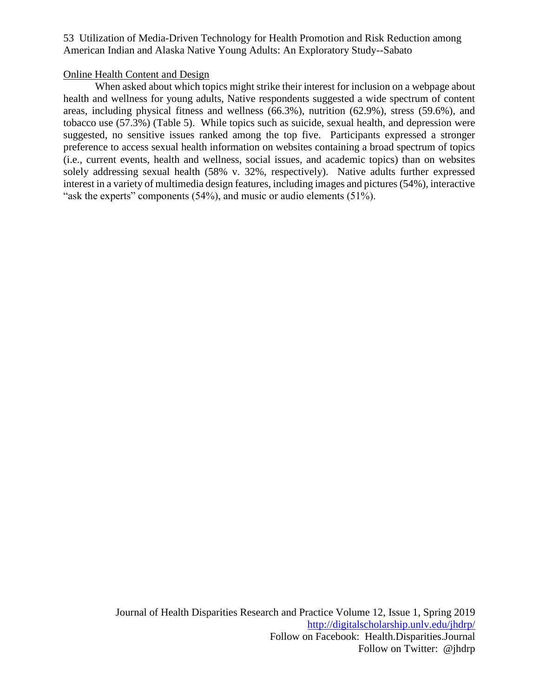# Online Health Content and Design

When asked about which topics might strike their interest for inclusion on a webpage about health and wellness for young adults, Native respondents suggested a wide spectrum of content areas, including physical fitness and wellness (66.3%), nutrition (62.9%), stress (59.6%), and tobacco use (57.3%) (Table 5). While topics such as suicide, sexual health, and depression were suggested, no sensitive issues ranked among the top five. Participants expressed a stronger preference to access sexual health information on websites containing a broad spectrum of topics (i.e., current events, health and wellness, social issues, and academic topics) than on websites solely addressing sexual health (58% v. 32%, respectively). Native adults further expressed interest in a variety of multimedia design features, including images and pictures (54%), interactive "ask the experts" components (54%), and music or audio elements (51%).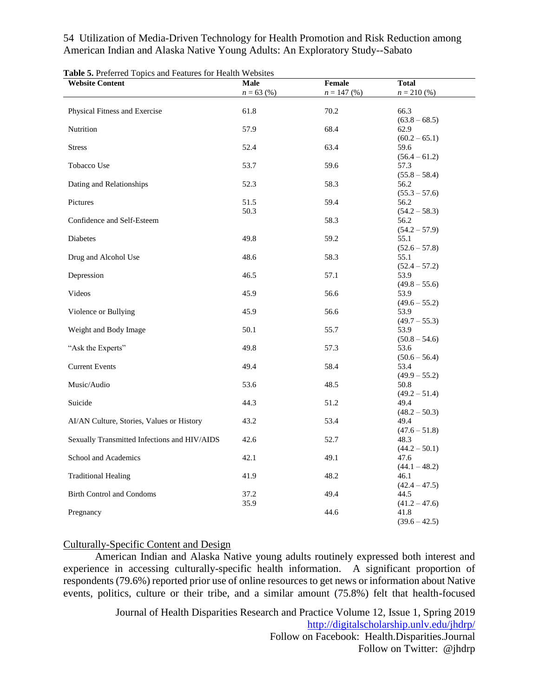| <b>Website Content</b>                       | Male         | Female        | <b>Total</b>            |
|----------------------------------------------|--------------|---------------|-------------------------|
|                                              | $n = 63$ (%) | $n = 147$ (%) | $n = 210(%)$            |
|                                              |              |               |                         |
| Physical Fitness and Exercise                | 61.8         | 70.2          | 66.3                    |
|                                              |              |               | $(63.8 - 68.5)$         |
| Nutrition                                    | 57.9         | 68.4          | 62.9                    |
|                                              |              |               | $(60.2 - 65.1)$         |
| <b>Stress</b>                                | 52.4         | 63.4          | 59.6                    |
|                                              |              |               | $(56.4 - 61.2)$         |
| Tobacco Use                                  | 53.7         | 59.6          | 57.3                    |
|                                              |              |               | $(55.8 - 58.4)$         |
| Dating and Relationships                     | 52.3         | 58.3          | 56.2<br>$(55.3 - 57.6)$ |
| Pictures                                     | 51.5         | 59.4          | 56.2                    |
|                                              | 50.3         |               | $(54.2 - 58.3)$         |
| Confidence and Self-Esteem                   |              | 58.3          | 56.2                    |
|                                              |              |               | $(54.2 - 57.9)$         |
| Diabetes                                     | 49.8         | 59.2          | 55.1                    |
|                                              |              |               | $(52.6 - 57.8)$         |
| Drug and Alcohol Use                         | 48.6         | 58.3          | 55.1                    |
|                                              |              |               | $(52.4 - 57.2)$         |
| Depression                                   | 46.5         | 57.1          | 53.9                    |
|                                              |              |               | $(49.8 - 55.6)$         |
| Videos                                       | 45.9         | 56.6          | 53.9                    |
|                                              |              |               | $(49.6 - 55.2)$         |
| Violence or Bullying                         | 45.9         | 56.6          | 53.9                    |
|                                              |              |               | $(49.7 - 55.3)$         |
| Weight and Body Image                        | 50.1         | 55.7          | 53.9                    |
|                                              |              |               | $(50.8 - 54.6)$         |
| "Ask the Experts"                            | 49.8         | 57.3          | 53.6                    |
| <b>Current Events</b>                        | 49.4         | 58.4          | $(50.6 - 56.4)$<br>53.4 |
|                                              |              |               | $(49.9 - 55.2)$         |
| Music/Audio                                  | 53.6         | 48.5          | 50.8                    |
|                                              |              |               | $(49.2 - 51.4)$         |
| Suicide                                      | 44.3         | 51.2          | 49.4                    |
|                                              |              |               | $(48.2 - 50.3)$         |
| AI/AN Culture, Stories, Values or History    | 43.2         | 53.4          | 49.4                    |
|                                              |              |               | $(47.6 - 51.8)$         |
| Sexually Transmitted Infections and HIV/AIDS | 42.6         | 52.7          | 48.3                    |
|                                              |              |               | $(44.2 - 50.1)$         |
| School and Academics                         | 42.1         | 49.1          | 47.6                    |
|                                              |              |               | $(44.1 - 48.2)$         |
| <b>Traditional Healing</b>                   | 41.9         | 48.2          | 46.1                    |
|                                              |              |               | $(42.4 - 47.5)$         |
| <b>Birth Control and Condoms</b>             | 37.2         | 49.4          | 44.5                    |
| Pregnancy                                    | 35.9         | 44.6          | $(41.2 - 47.6)$<br>41.8 |
|                                              |              |               | $(39.6 - 42.5)$         |
|                                              |              |               |                         |

**Table 5.** Preferred Topics and Features for Health Websites

# Culturally-Specific Content and Design

American Indian and Alaska Native young adults routinely expressed both interest and experience in accessing culturally-specific health information. A significant proportion of respondents (79.6%) reported prior use of online resources to get news or information about Native events, politics, culture or their tribe, and a similar amount (75.8%) felt that health-focused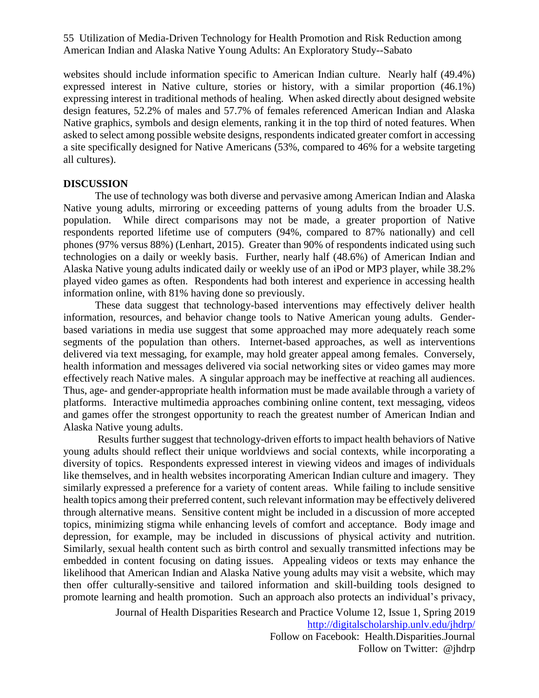websites should include information specific to American Indian culture. Nearly half (49.4%) expressed interest in Native culture, stories or history, with a similar proportion (46.1%) expressing interest in traditional methods of healing. When asked directly about designed website design features, 52.2% of males and 57.7% of females referenced American Indian and Alaska Native graphics, symbols and design elements, ranking it in the top third of noted features. When asked to select among possible website designs, respondents indicated greater comfort in accessing a site specifically designed for Native Americans (53%, compared to 46% for a website targeting all cultures).

#### **DISCUSSION**

The use of technology was both diverse and pervasive among American Indian and Alaska Native young adults, mirroring or exceeding patterns of young adults from the broader U.S. population. While direct comparisons may not be made, a greater proportion of Native respondents reported lifetime use of computers (94%, compared to 87% nationally) and cell phones (97% versus 88%) (Lenhart, 2015). Greater than 90% of respondents indicated using such technologies on a daily or weekly basis. Further, nearly half (48.6%) of American Indian and Alaska Native young adults indicated daily or weekly use of an iPod or MP3 player, while 38.2% played video games as often. Respondents had both interest and experience in accessing health information online, with 81% having done so previously.

These data suggest that technology-based interventions may effectively deliver health information, resources, and behavior change tools to Native American young adults. Genderbased variations in media use suggest that some approached may more adequately reach some segments of the population than others. Internet-based approaches, as well as interventions delivered via text messaging, for example, may hold greater appeal among females. Conversely, health information and messages delivered via social networking sites or video games may more effectively reach Native males. A singular approach may be ineffective at reaching all audiences. Thus, age- and gender-appropriate health information must be made available through a variety of platforms. Interactive multimedia approaches combining online content, text messaging, videos and games offer the strongest opportunity to reach the greatest number of American Indian and Alaska Native young adults.

Results further suggest that technology-driven efforts to impact health behaviors of Native young adults should reflect their unique worldviews and social contexts, while incorporating a diversity of topics. Respondents expressed interest in viewing videos and images of individuals like themselves, and in health websites incorporating American Indian culture and imagery. They similarly expressed a preference for a variety of content areas. While failing to include sensitive health topics among their preferred content, such relevant information may be effectively delivered through alternative means. Sensitive content might be included in a discussion of more accepted topics, minimizing stigma while enhancing levels of comfort and acceptance. Body image and depression, for example, may be included in discussions of physical activity and nutrition. Similarly, sexual health content such as birth control and sexually transmitted infections may be embedded in content focusing on dating issues. Appealing videos or texts may enhance the likelihood that American Indian and Alaska Native young adults may visit a website, which may then offer culturally-sensitive and tailored information and skill-building tools designed to promote learning and health promotion. Such an approach also protects an individual's privacy,

Journal of Health Disparities Research and Practice Volume 12, Issue 1, Spring 2019

<http://digitalscholarship.unlv.edu/jhdrp/>

Follow on Facebook: Health.Disparities.Journal Follow on Twitter: @jhdrp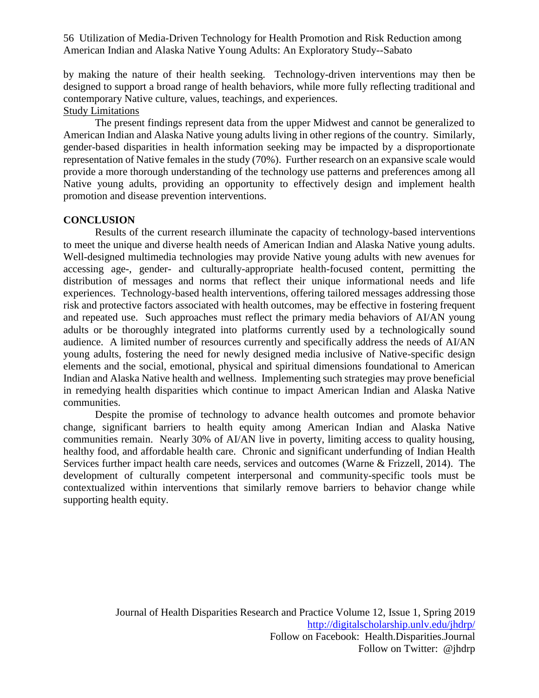by making the nature of their health seeking. Technology-driven interventions may then be designed to support a broad range of health behaviors, while more fully reflecting traditional and contemporary Native culture, values, teachings, and experiences. Study Limitations

The present findings represent data from the upper Midwest and cannot be generalized to American Indian and Alaska Native young adults living in other regions of the country. Similarly, gender-based disparities in health information seeking may be impacted by a disproportionate representation of Native females in the study (70%). Further research on an expansive scale would provide a more thorough understanding of the technology use patterns and preferences among all Native young adults, providing an opportunity to effectively design and implement health promotion and disease prevention interventions.

# **CONCLUSION**

Results of the current research illuminate the capacity of technology-based interventions to meet the unique and diverse health needs of American Indian and Alaska Native young adults. Well-designed multimedia technologies may provide Native young adults with new avenues for accessing age-, gender- and culturally-appropriate health-focused content, permitting the distribution of messages and norms that reflect their unique informational needs and life experiences. Technology-based health interventions, offering tailored messages addressing those risk and protective factors associated with health outcomes, may be effective in fostering frequent and repeated use. Such approaches must reflect the primary media behaviors of AI/AN young adults or be thoroughly integrated into platforms currently used by a technologically sound audience. A limited number of resources currently and specifically address the needs of AI/AN young adults, fostering the need for newly designed media inclusive of Native-specific design elements and the social, emotional, physical and spiritual dimensions foundational to American Indian and Alaska Native health and wellness. Implementing such strategies may prove beneficial in remedying health disparities which continue to impact American Indian and Alaska Native communities.

Despite the promise of technology to advance health outcomes and promote behavior change, significant barriers to health equity among American Indian and Alaska Native communities remain. Nearly 30% of AI/AN live in poverty, limiting access to quality housing, healthy food, and affordable health care. Chronic and significant underfunding of Indian Health Services further impact health care needs, services and outcomes (Warne & Frizzell, 2014). The development of culturally competent interpersonal and community-specific tools must be contextualized within interventions that similarly remove barriers to behavior change while supporting health equity.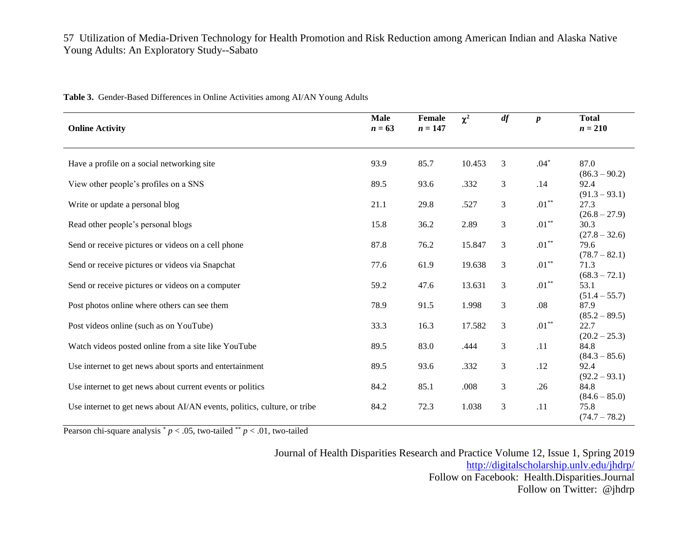| <b>Online Activity</b>                                                   | <b>Male</b><br>$n = 63$ | Female<br>$n = 147$ | $\chi^2$ | df             | $\boldsymbol{p}$ | <b>Total</b><br>$n = 210$ |
|--------------------------------------------------------------------------|-------------------------|---------------------|----------|----------------|------------------|---------------------------|
|                                                                          |                         |                     |          |                |                  |                           |
| Have a profile on a social networking site                               | 93.9                    | 85.7                | 10.453   | 3              | $.04*$           | 87.0<br>$(86.3 - 90.2)$   |
| View other people's profiles on a SNS                                    | 89.5                    | 93.6                | .332     | 3              | .14              | 92.4<br>$(91.3 - 93.1)$   |
| Write or update a personal blog                                          | 21.1                    | 29.8                | .527     | 3              | $.01***$         | 27.3<br>$(26.8 - 27.9)$   |
| Read other people's personal blogs                                       | 15.8                    | 36.2                | 2.89     | 3              | $.01***$         | 30.3<br>$(27.8 - 32.6)$   |
| Send or receive pictures or videos on a cell phone                       | 87.8                    | 76.2                | 15.847   | 3              | $.01***$         | 79.6<br>$(78.7 - 82.1)$   |
| Send or receive pictures or videos via Snapchat                          | 77.6                    | 61.9                | 19.638   | 3              | $.01***$         | 71.3<br>$(68.3 - 72.1)$   |
| Send or receive pictures or videos on a computer                         | 59.2                    | 47.6                | 13.631   | 3              | $.01***$         | 53.1<br>$(51.4 - 55.7)$   |
| Post photos online where others can see them                             | 78.9                    | 91.5                | 1.998    | 3              | .08              | 87.9<br>$(85.2 - 89.5)$   |
| Post videos online (such as on YouTube)                                  | 33.3                    | 16.3                | 17.582   | $\mathfrak{Z}$ | $.01***$         | 22.7<br>$(20.2 - 25.3)$   |
| Watch videos posted online from a site like YouTube                      | 89.5                    | 83.0                | .444     | 3              | .11              | 84.8<br>$(84.3 - 85.6)$   |
| Use internet to get news about sports and entertainment                  | 89.5                    | 93.6                | .332     | $\mathfrak{Z}$ | .12              | 92.4<br>$(92.2 - 93.1)$   |
| Use internet to get news about current events or politics                | 84.2                    | 85.1                | .008     | $\mathfrak{Z}$ | .26              | 84.8<br>$(84.6 - 85.0)$   |
| Use internet to get news about AI/AN events, politics, culture, or tribe | 84.2                    | 72.3                | 1.038    | 3              | .11              | 75.8<br>$(74.7 - 78.2)$   |

**Table 3.** Gender-Based Differences in Online Activities among AI/AN Young Adults

Pearson chi-square analysis  $p < .05$ , two-tailed  $p < .01$ , two-tailed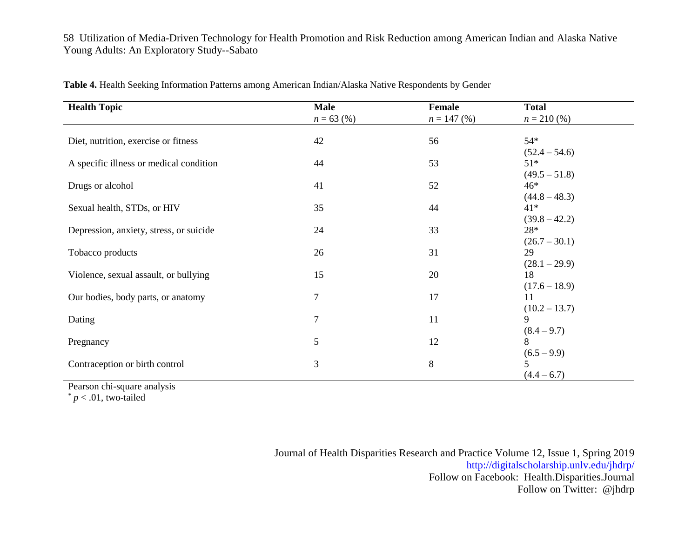| <b>Health Topic</b>                     | <b>Male</b>    | Female        | <b>Total</b>    |
|-----------------------------------------|----------------|---------------|-----------------|
|                                         | $n = 63$ (%)   | $n = 147$ (%) | $n = 210\,(%$   |
|                                         |                |               |                 |
| Diet, nutrition, exercise or fitness    | 42             | 56            | $54*$           |
|                                         |                |               | $(52.4 - 54.6)$ |
| A specific illness or medical condition | 44             | 53            | $51*$           |
|                                         |                |               | $(49.5 - 51.8)$ |
| Drugs or alcohol                        | 41             | 52            | $46*$           |
|                                         |                |               | $(44.8 - 48.3)$ |
| Sexual health, STDs, or HIV             | 35             | 44            | $41*$           |
|                                         |                |               | $(39.8 - 42.2)$ |
| Depression, anxiety, stress, or suicide | 24             | 33            | $28*$           |
|                                         |                |               | $(26.7 - 30.1)$ |
| Tobacco products                        | 26             | 31            | 29              |
|                                         |                |               | $(28.1 - 29.9)$ |
| Violence, sexual assault, or bullying   | 15             | 20            | 18              |
|                                         |                |               | $(17.6 - 18.9)$ |
| Our bodies, body parts, or anatomy      | $\tau$         | 17            | 11              |
|                                         |                |               | $(10.2 - 13.7)$ |
| Dating                                  | $\overline{7}$ | 11            | 9               |
|                                         |                |               | $(8.4 - 9.7)$   |
| Pregnancy                               | 5              | 12            | 8               |
|                                         |                |               | $(6.5 - 9.9)$   |
| Contraception or birth control          | $\mathfrak{Z}$ | 8             |                 |
|                                         |                |               | $(4.4 - 6.7)$   |

**Table 4.** Health Seeking Information Patterns among American Indian/Alaska Native Respondents by Gender

Pearson chi-square analysis

 $p < .01$ , two-tailed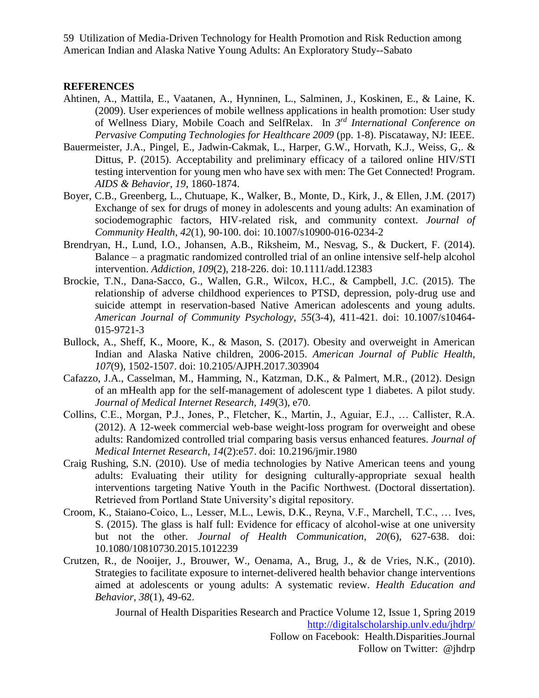# **REFERENCES**

- Ahtinen, A., Mattila, E., Vaatanen, A., Hynninen, L., Salminen, J., Koskinen, E., & Laine, K. (2009). User experiences of mobile wellness applications in health promotion: User study of Wellness Diary, Mobile Coach and SelfRelax. In *3 rd International Conference on Pervasive Computing Technologies for Healthcare 2009* (pp. 1-8). Piscataway, NJ: IEEE.
- Bauermeister, J.A., Pingel, E., Jadwin-Cakmak, L., Harper, G.W., Horvath, K.J., Weiss, G,. & Dittus, P. (2015). Acceptability and preliminary efficacy of a tailored online HIV/STI testing intervention for young men who have sex with men: The Get Connected! Program. *AIDS & Behavior, 19*, 1860-1874.
- Boyer, C.B., Greenberg, L., Chutuape, K., Walker, B., Monte, D., Kirk, J., & Ellen, J.M. (2017) Exchange of sex for drugs of money in adolescents and young adults: An examination of sociodemographic factors, HIV-related risk, and community context. *Journal of Community Health, 42*(1), 90-100. doi: 10.1007/s10900-016-0234-2
- Brendryan, H., Lund, I.O., Johansen, A.B., Riksheim, M., Nesvag, S., & Duckert, F. (2014). Balance – a pragmatic randomized controlled trial of an online intensive self-help alcohol intervention. *Addiction, 109*(2), 218-226. doi: 10.1111/add.12383
- Brockie, T.N., Dana-Sacco, G., Wallen, G.R., Wilcox, H.C., & Campbell, J.C. (2015). The relationship of adverse childhood experiences to PTSD, depression, poly-drug use and suicide attempt in reservation-based Native American adolescents and young adults. *American Journal of Community Psychology, 55*(3-4), 411-421. doi: 10.1007/s10464- 015-9721-3
- Bullock, A., Sheff, K., Moore, K., & Mason, S. (2017). Obesity and overweight in American Indian and Alaska Native children, 2006-2015. *American Journal of Public Health, 107*(9), 1502-1507. doi: 10.2105/AJPH.2017.303904
- Cafazzo, J.A., Casselman, M., Hamming, N., Katzman, D.K., & Palmert, M.R., (2012). Design of an mHealth app for the self-management of adolescent type 1 diabetes. A pilot study. *Journal of Medical Internet Research, 149*(3), e70.
- Collins, C.E., Morgan, P.J., Jones, P., Fletcher, K., Martin, J., Aguiar, E.J., … Callister, R.A. (2012). A 12-week commercial web-base weight-loss program for overweight and obese adults: Randomized controlled trial comparing basis versus enhanced features. *Journal of Medical Internet Research, 14*(2):e57. doi: 10.2196/jmir.1980
- Craig Rushing, S.N. (2010). Use of media technologies by Native American teens and young adults: Evaluating their utility for designing culturally-appropriate sexual health interventions targeting Native Youth in the Pacific Northwest. (Doctoral dissertation). Retrieved from Portland State University's digital repository.
- Croom, K., Staiano-Coico, L., Lesser, M.L., Lewis, D.K., Reyna, V.F., Marchell, T.C., … Ives, S. (2015). The glass is half full: Evidence for efficacy of alcohol-wise at one university but not the other. *Journal of Health Communication, 20*(6), 627-638. doi: 10.1080/10810730.2015.1012239
- Crutzen, R., de Nooijer, J., Brouwer, W., Oenama, A., Brug, J., & de Vries, N.K., (2010). Strategies to facilitate exposure to internet-delivered health behavior change interventions aimed at adolescents or young adults: A systematic review. *Health Education and Behavior, 38*(1), 49-62.

Journal of Health Disparities Research and Practice Volume 12, Issue 1, Spring 2019 <http://digitalscholarship.unlv.edu/jhdrp/>

Follow on Facebook: Health.Disparities.Journal Follow on Twitter: @jhdrp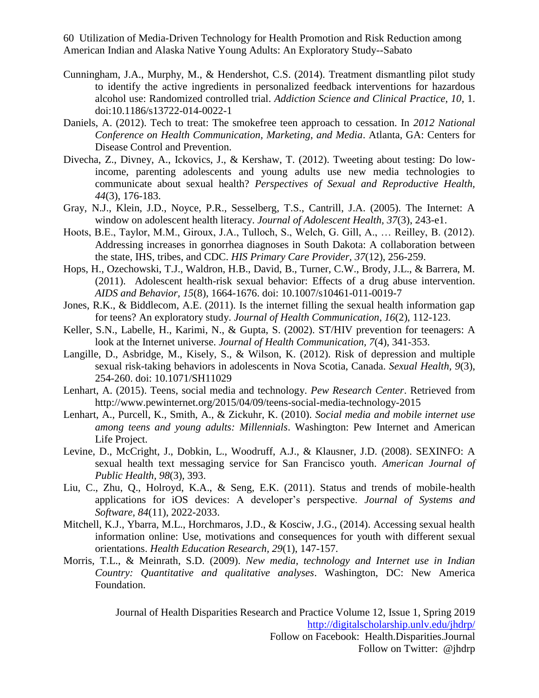- Cunningham, J.A., Murphy, M., & Hendershot, C.S. (2014). Treatment dismantling pilot study to identify the active ingredients in personalized feedback interventions for hazardous alcohol use: Randomized controlled trial. *Addiction Science and Clinical Practice, 10*, 1. doi:10.1186/s13722-014-0022-1
- Daniels, A. (2012). Tech to treat: The smokefree teen approach to cessation. In *2012 National Conference on Health Communication, Marketing, and Media*. Atlanta, GA: Centers for Disease Control and Prevention.
- Divecha, Z., Divney, A., Ickovics, J., & Kershaw, T. (2012). Tweeting about testing: Do lowincome, parenting adolescents and young adults use new media technologies to communicate about sexual health? *Perspectives of Sexual and Reproductive Health, 44*(3), 176-183.
- Gray, N.J., Klein, J.D., Noyce, P.R., Sesselberg, T.S., Cantrill, J.A. (2005). The Internet: A window on adolescent health literacy. *Journal of Adolescent Health, 37*(3), 243-e1.
- Hoots, B.E., Taylor, M.M., Giroux, J.A., Tulloch, S., Welch, G. Gill, A., … Reilley, B. (2012). Addressing increases in gonorrhea diagnoses in South Dakota: A collaboration between the state, IHS, tribes, and CDC. *HIS Primary Care Provider, 37*(12), 256-259.
- Hops, H., Ozechowski, T.J., Waldron, H.B., David, B., Turner, C.W., Brody, J.L., & Barrera, M. (2011). Adolescent health-risk sexual behavior: Effects of a drug abuse intervention. *AIDS and Behavior, 15*(8), 1664-1676. doi: 10.1007/s10461-011-0019-7
- Jones, R.K., & Biddlecom, A.E. (2011). Is the internet filling the sexual health information gap for teens? An exploratory study. *Journal of Health Communication, 16*(2), 112-123.
- Keller, S.N., Labelle, H., Karimi, N., & Gupta, S. (2002). ST/HIV prevention for teenagers: A look at the Internet universe. *Journal of Health Communication, 7*(4), 341-353.
- Langille, D., Asbridge, M., Kisely, S., & Wilson, K. (2012). Risk of depression and multiple sexual risk-taking behaviors in adolescents in Nova Scotia, Canada. *Sexual Health, 9*(3), 254-260. doi: 10.1071/SH11029
- Lenhart, A. (2015). Teens, social media and technology. *Pew Research Center*. Retrieved from http://www.pewinternet.org/2015/04/09/teens-social-media-technology-2015
- Lenhart, A., Purcell, K., Smith, A., & Zickuhr, K. (2010). *Social media and mobile internet use among teens and young adults: Millennials*. Washington: Pew Internet and American Life Project.
- Levine, D., McCright, J., Dobkin, L., Woodruff, A.J., & Klausner, J.D. (2008). SEXINFO: A sexual health text messaging service for San Francisco youth. *American Journal of Public Health, 98*(3), 393.
- Liu, C., Zhu, Q., Holroyd, K.A., & Seng, E.K. (2011). Status and trends of mobile-health applications for iOS devices: A developer's perspective. *Journal of Systems and Software, 84*(11), 2022-2033.
- Mitchell, K.J., Ybarra, M.L., Horchmaros, J.D., & Kosciw, J.G., (2014). Accessing sexual health information online: Use, motivations and consequences for youth with different sexual orientations. *Health Education Research, 29*(1), 147-157.
- Morris, T.L., & Meinrath, S.D. (2009). *New media, technology and Internet use in Indian Country: Quantitative and qualitative analyses*. Washington, DC: New America Foundation.

Journal of Health Disparities Research and Practice Volume 12, Issue 1, Spring 2019 <http://digitalscholarship.unlv.edu/jhdrp/> Follow on Facebook: Health.Disparities.Journal

Follow on Twitter: @jhdrp